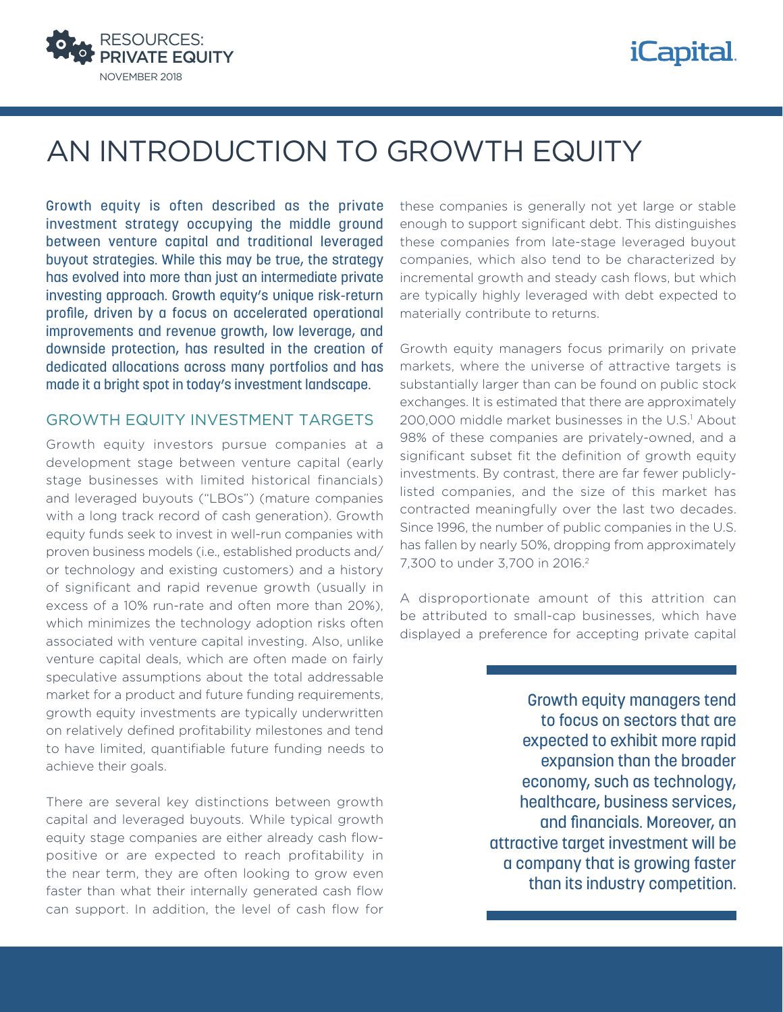

## *iCapital.*

# AN INTRODUCTION TO GROWTH EQUITY

Growth equity is often described as the private investment strategy occupying the middle ground between venture capital and traditional leveraged buyout strategies. While this may be true, the strategy has evolved into more than just an intermediate private investing approach. Growth equity's unique risk-return profile, driven by a focus on accelerated operational improvements and revenue growth, low leverage, and downside protection, has resulted in the creation of dedicated allocations across many portfolios and has made it a bright spot in today's investment landscape.

#### GROWTH EQUITY INVESTMENT TARGETS

Growth equity investors pursue companies at a development stage between venture capital (early stage businesses with limited historical financials) and leveraged buyouts ("LBOs") (mature companies with a long track record of cash generation). Growth equity funds seek to invest in well-run companies with proven business models (i.e., established products and/ or technology and existing customers) and a history of significant and rapid revenue growth (usually in excess of a 10% run-rate and often more than 20%), which minimizes the technology adoption risks often associated with venture capital investing. Also, unlike venture capital deals, which are often made on fairly speculative assumptions about the total addressable market for a product and future funding requirements, growth equity investments are typically underwritten on relatively defined profitability milestones and tend to have limited, quantifiable future funding needs to achieve their goals.

There are several key distinctions between growth capital and leveraged buyouts. While typical growth equity stage companies are either already cash flowpositive or are expected to reach profitability in the near term, they are often looking to grow even faster than what their internally generated cash flow can support. In addition, the level of cash flow for these companies is generally not yet large or stable enough to support significant debt. This distinguishes these companies from late-stage leveraged buyout companies, which also tend to be characterized by incremental growth and steady cash flows, but which are typically highly leveraged with debt expected to materially contribute to returns.

Growth equity managers focus primarily on private markets, where the universe of attractive targets is substantially larger than can be found on public stock exchanges. It is estimated that there are approximately 200,000 middle market businesses in the U.S.<sup>1</sup> About 98% of these companies are privately-owned, and a significant subset fit the definition of growth equity investments. By contrast, there are far fewer publiclylisted companies, and the size of this market has contracted meaningfully over the last two decades. Since 1996, the number of public companies in the U.S. has fallen by nearly 50%, dropping from approximately 7,300 to under 3,700 in 2016.2

A disproportionate amount of this attrition can be attributed to small-cap businesses, which have displayed a preference for accepting private capital

> Growth equity managers tend to focus on sectors that are expected to exhibit more rapid expansion than the broader economy, such as technology, healthcare, business services, and financials. Moreover, an attractive target investment will be a company that is growing faster than its industry competition.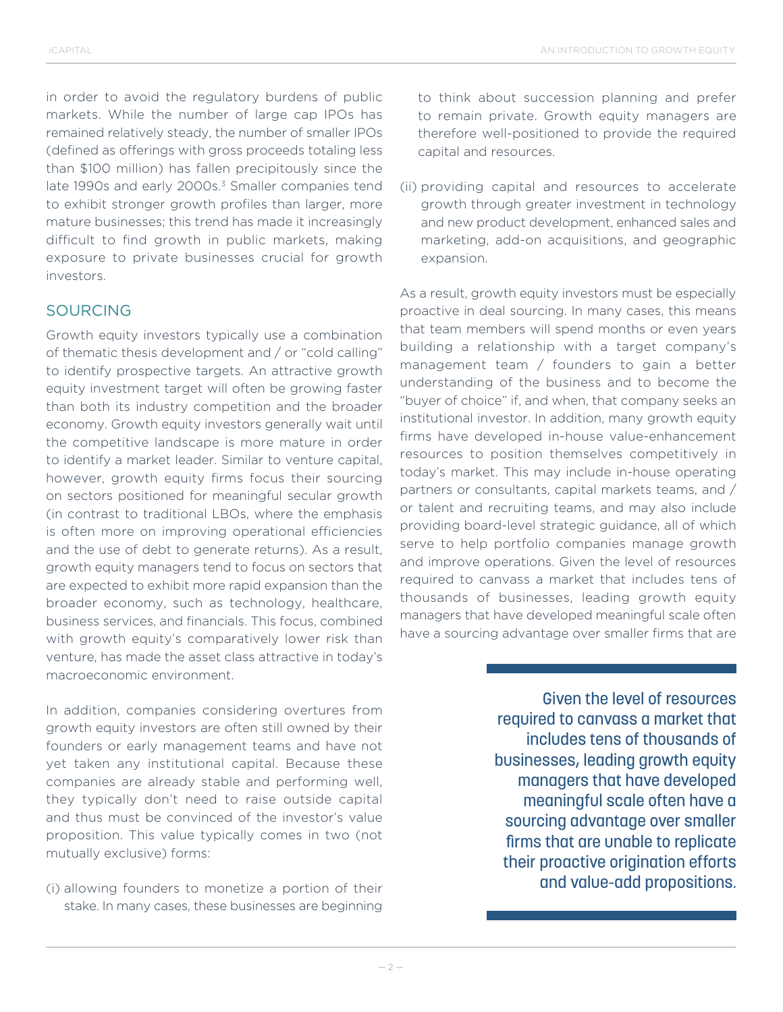in order to avoid the regulatory burdens of public markets. While the number of large cap IPOs has remained relatively steady, the number of smaller IPOs (defined as offerings with gross proceeds totaling less than \$100 million) has fallen precipitously since the late 1990s and early 2000s.<sup>3</sup> Smaller companies tend to exhibit stronger growth profiles than larger, more mature businesses; this trend has made it increasingly difficult to find growth in public markets, making exposure to private businesses crucial for growth investors.

### SOURCING

Growth equity investors typically use a combination of thematic thesis development and / or "cold calling" to identify prospective targets. An attractive growth equity investment target will often be growing faster than both its industry competition and the broader economy. Growth equity investors generally wait until the competitive landscape is more mature in order to identify a market leader. Similar to venture capital, however, growth equity firms focus their sourcing on sectors positioned for meaningful secular growth (in contrast to traditional LBOs, where the emphasis is often more on improving operational efficiencies and the use of debt to generate returns). As a result, growth equity managers tend to focus on sectors that are expected to exhibit more rapid expansion than the broader economy, such as technology, healthcare, business services, and financials. This focus, combined with growth equity's comparatively lower risk than venture, has made the asset class attractive in today's macroeconomic environment.

In addition, companies considering overtures from growth equity investors are often still owned by their founders or early management teams and have not yet taken any institutional capital. Because these companies are already stable and performing well, they typically don't need to raise outside capital and thus must be convinced of the investor's value proposition. This value typically comes in two (not mutually exclusive) forms:

(i) allowing founders to monetize a portion of their stake. In many cases, these businesses are beginning to think about succession planning and prefer to remain private. Growth equity managers are therefore well-positioned to provide the required capital and resources.

(ii) providing capital and resources to accelerate growth through greater investment in technology and new product development, enhanced sales and marketing, add-on acquisitions, and geographic expansion.

As a result, growth equity investors must be especially proactive in deal sourcing. In many cases, this means that team members will spend months or even years building a relationship with a target company's management team / founders to gain a better understanding of the business and to become the "buyer of choice" if, and when, that company seeks an institutional investor. In addition, many growth equity firms have developed in-house value-enhancement resources to position themselves competitively in today's market. This may include in-house operating partners or consultants, capital markets teams, and / or talent and recruiting teams, and may also include providing board-level strategic guidance, all of which serve to help portfolio companies manage growth and improve operations. Given the level of resources required to canvass a market that includes tens of thousands of businesses, leading growth equity managers that have developed meaningful scale often have a sourcing advantage over smaller firms that are

> Given the level of resources required to canvass a market that includes tens of thousands of businesses, leading growth equity managers that have developed meaningful scale often have a sourcing advantage over smaller firms that are unable to replicate their proactive origination efforts and value-add propositions.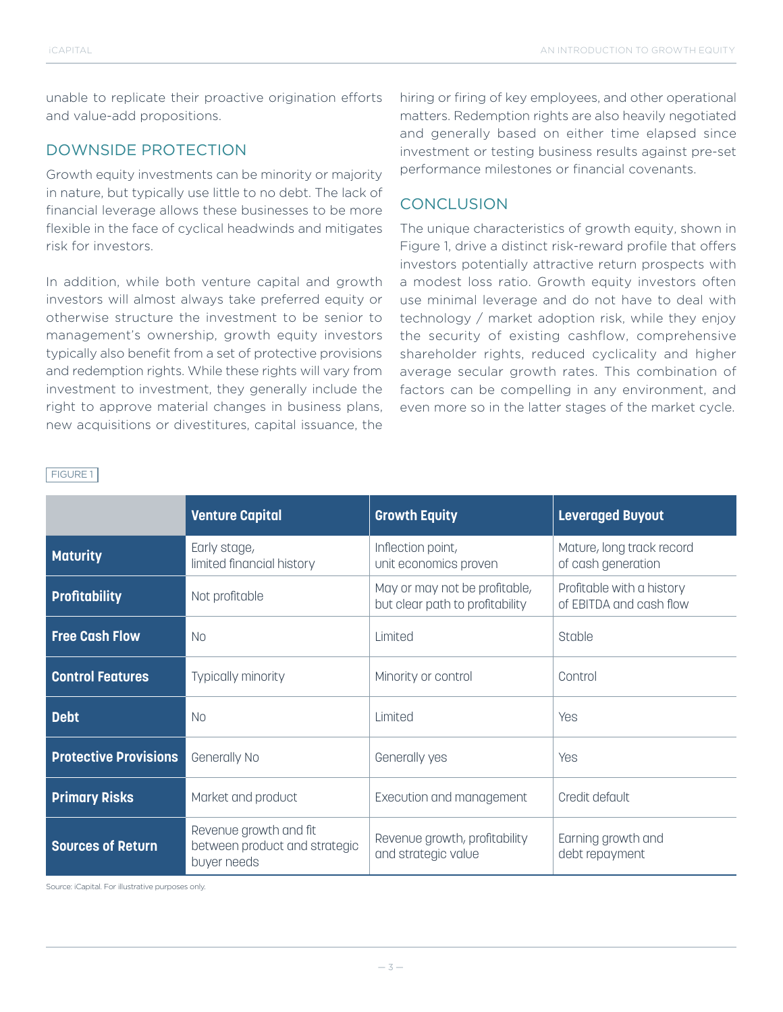unable to replicate their proactive origination efforts and value-add propositions.

### DOWNSIDE PROTECTION

Growth equity investments can be minority or majority in nature, but typically use little to no debt. The lack of financial leverage allows these businesses to be more flexible in the face of cyclical headwinds and mitigates risk for investors.

In addition, while both venture capital and growth investors will almost always take preferred equity or otherwise structure the investment to be senior to management's ownership, growth equity investors typically also benefit from a set of protective provisions and redemption rights. While these rights will vary from investment to investment, they generally include the right to approve material changes in business plans, new acquisitions or divestitures, capital issuance, the

hiring or firing of key employees, and other operational matters. Redemption rights are also heavily negotiated and generally based on either time elapsed since investment or testing business results against pre-set performance milestones or financial covenants.

## **CONCLUSION**

The unique characteristics of growth equity, shown in Figure 1, drive a distinct risk-reward profile that offers investors potentially attractive return prospects with a modest loss ratio. Growth equity investors often use minimal leverage and do not have to deal with technology / market adoption risk, while they enjoy the security of existing cashflow, comprehensive shareholder rights, reduced cyclicality and higher average secular growth rates. This combination of factors can be compelling in any environment, and even more so in the latter stages of the market cycle.

#### FIGURE 1

|                              | <b>Venture Capital</b>                                                 | <b>Growth Equity</b>                                             | <b>Leveraged Buyout</b>                              |
|------------------------------|------------------------------------------------------------------------|------------------------------------------------------------------|------------------------------------------------------|
| <b>Maturity</b>              | Early stage,<br>limited financial history                              | Inflection point,<br>unit economics proven                       | Mature, long track record<br>of cash generation      |
| <b>Profitability</b>         | Not profitable                                                         | May or may not be profitable,<br>but clear path to profitability | Profitable with a history<br>of EBITDA and cash flow |
| <b>Free Cash Flow</b>        | N <sub>0</sub>                                                         | Limited                                                          | Stable                                               |
| <b>Control Features</b>      | Typically minority                                                     | Minority or control                                              | Control                                              |
| <b>Debt</b>                  | <b>No</b>                                                              | Limited                                                          | Yes                                                  |
| <b>Protective Provisions</b> | Generally No                                                           | Generally yes                                                    | Yes                                                  |
| <b>Primary Risks</b>         | Market and product                                                     | Execution and management                                         | Credit default                                       |
| <b>Sources of Return</b>     | Revenue growth and fit<br>between product and strategic<br>buyer needs | Revenue growth, profitability<br>and strategic value             | Earning growth and<br>debt repayment                 |

Source: iCapital. For illustrative purposes only.